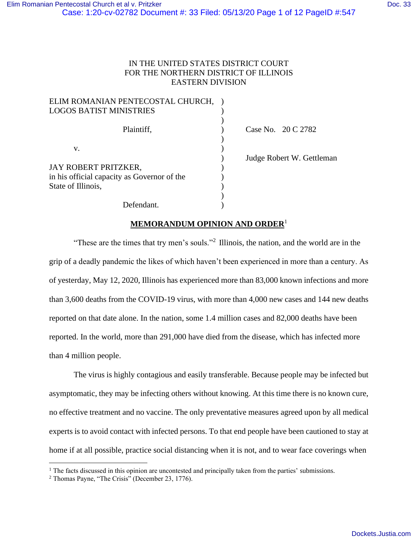## IN THE UNITED STATES DISTRICT COURT FOR THE NORTHERN DISTRICT OF ILLINOIS EASTERN DIVISION

| ELIM ROMANIAN PENTECOSTAL CHURCH,           |                           |
|---------------------------------------------|---------------------------|
| <b>LOGOS BATIST MINISTRIES</b>              |                           |
|                                             |                           |
| Plaintiff,                                  | Case No. 20 C 2782        |
|                                             |                           |
| v.                                          |                           |
|                                             | Judge Robert W. Gettleman |
| JAY ROBERT PRITZKER,                        |                           |
| in his official capacity as Governor of the |                           |
| State of Illinois,                          |                           |
|                                             |                           |
| Defendant.                                  |                           |

## **MEMORANDUM OPINION AND ORDER**<sup>1</sup>

"These are the times that try men's souls."<sup>2</sup> Illinois, the nation, and the world are in the grip of a deadly pandemic the likes of which haven't been experienced in more than a century. As of yesterday, May 12, 2020, Illinois has experienced more than 83,000 known infections and more than 3,600 deaths from the COVID-19 virus, with more than 4,000 new cases and 144 new deaths reported on that date alone. In the nation, some 1.4 million cases and 82,000 deaths have been reported. In the world, more than 291,000 have died from the disease, which has infected more than 4 million people.

 The virus is highly contagious and easily transferable. Because people may be infected but asymptomatic, they may be infecting others without knowing. At this time there is no known cure, no effective treatment and no vaccine. The only preventative measures agreed upon by all medical experts is to avoid contact with infected persons. To that end people have been cautioned to stay at home if at all possible, practice social distancing when it is not, and to wear face coverings when

 $<sup>1</sup>$  The facts discussed in this opinion are uncontested and principally taken from the parties' submissions.</sup>

 $2$  Thomas Payne, "The Crisis" (December 23, 1776).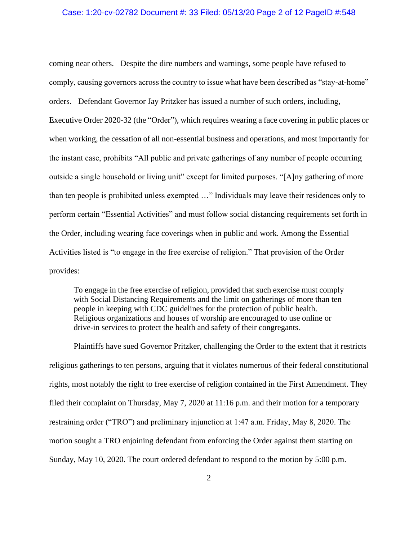### Case: 1:20-cv-02782 Document #: 33 Filed: 05/13/20 Page 2 of 12 PageID #:548

coming near others. Despite the dire numbers and warnings, some people have refused to comply, causing governors across the country to issue what have been described as "stay-at-home" orders. Defendant Governor Jay Pritzker has issued a number of such orders, including, Executive Order 2020-32 (the "Order"), which requires wearing a face covering in public places or when working, the cessation of all non-essential business and operations, and most importantly for the instant case, prohibits "All public and private gatherings of any number of people occurring outside a single household or living unit" except for limited purposes. "[A]ny gathering of more than ten people is prohibited unless exempted …" Individuals may leave their residences only to perform certain "Essential Activities" and must follow social distancing requirements set forth in the Order, including wearing face coverings when in public and work. Among the Essential Activities listed is "to engage in the free exercise of religion." That provision of the Order provides:

To engage in the free exercise of religion, provided that such exercise must comply with Social Distancing Requirements and the limit on gatherings of more than ten people in keeping with CDC guidelines for the protection of public health. Religious organizations and houses of worship are encouraged to use online or drive-in services to protect the health and safety of their congregants.

 Plaintiffs have sued Governor Pritzker, challenging the Order to the extent that it restricts religious gatherings to ten persons, arguing that it violates numerous of their federal constitutional rights, most notably the right to free exercise of religion contained in the First Amendment. They filed their complaint on Thursday, May 7, 2020 at 11:16 p.m. and their motion for a temporary restraining order ("TRO") and preliminary injunction at 1:47 a.m. Friday, May 8, 2020. The motion sought a TRO enjoining defendant from enforcing the Order against them starting on Sunday, May 10, 2020. The court ordered defendant to respond to the motion by 5:00 p.m.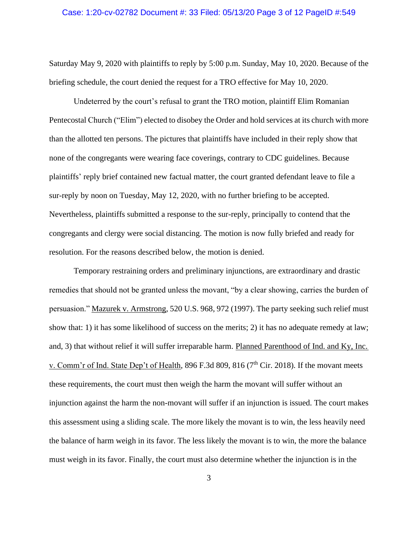### Case: 1:20-cv-02782 Document #: 33 Filed: 05/13/20 Page 3 of 12 PageID #:549

Saturday May 9, 2020 with plaintiffs to reply by 5:00 p.m. Sunday, May 10, 2020. Because of the briefing schedule, the court denied the request for a TRO effective for May 10, 2020.

Undeterred by the court's refusal to grant the TRO motion, plaintiff Elim Romanian Pentecostal Church ("Elim") elected to disobey the Order and hold services at its church with more than the allotted ten persons. The pictures that plaintiffs have included in their reply show that none of the congregants were wearing face coverings, contrary to CDC guidelines. Because plaintiffs' reply brief contained new factual matter, the court granted defendant leave to file a sur-reply by noon on Tuesday, May 12, 2020, with no further briefing to be accepted. Nevertheless, plaintiffs submitted a response to the sur-reply, principally to contend that the congregants and clergy were social distancing. The motion is now fully briefed and ready for resolution. For the reasons described below, the motion is denied.

 Temporary restraining orders and preliminary injunctions, are extraordinary and drastic remedies that should not be granted unless the movant, "by a clear showing, carries the burden of persuasion." Mazurek v. Armstrong, 520 U.S. 968, 972 (1997). The party seeking such relief must show that: 1) it has some likelihood of success on the merits; 2) it has no adequate remedy at law; and, 3) that without relief it will suffer irreparable harm. Planned Parenthood of Ind. and Ky, Inc. v. Comm'r of Ind. State Dep't of Health, 896 F.3d 809, 816 (7<sup>th</sup> Cir. 2018). If the movant meets these requirements, the court must then weigh the harm the movant will suffer without an injunction against the harm the non-movant will suffer if an injunction is issued. The court makes this assessment using a sliding scale. The more likely the movant is to win, the less heavily need the balance of harm weigh in its favor. The less likely the movant is to win, the more the balance must weigh in its favor. Finally, the court must also determine whether the injunction is in the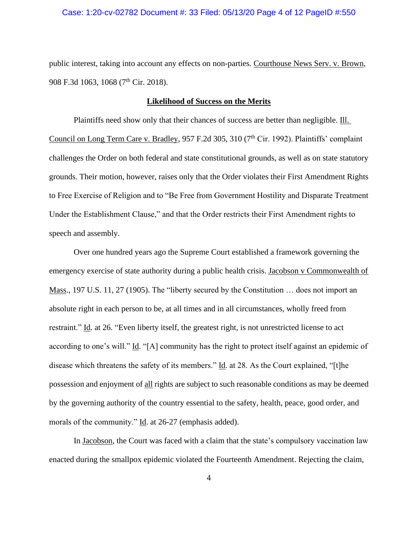### Case: 1:20-cv-02782 Document #: 33 Filed: 05/13/20 Page 4 of 12 PageID #:550

public interest, taking into account any effects on non-parties. Courthouse News Serv. v. Brown, 908 F.3d 1063, 1068 (7<sup>th</sup> Cir. 2018).

#### **Likelihood of Success on the Merits**

 Plaintiffs need show only that their chances of success are better than negligible. Ill. Council on Long Term Care v. Bradley, 957 F.2d 305, 310 ( $7<sup>th</sup>$  Cir. 1992). Plaintiffs' complaint challenges the Order on both federal and state constitutional grounds, as well as on state statutory grounds. Their motion, however, raises only that the Order violates their First Amendment Rights to Free Exercise of Religion and to "Be Free from Government Hostility and Disparate Treatment Under the Establishment Clause," and that the Order restricts their First Amendment rights to speech and assembly.

 Over one hundred years ago the Supreme Court established a framework governing the emergency exercise of state authority during a public health crisis. Jacobson v Commonwealth of Mass., 197 U.S. 11, 27 (1905). The "liberty secured by the Constitution ... does not import an absolute right in each person to be, at all times and in all circumstances, wholly freed from restraint." Id. at 26. "Even liberty itself, the greatest right, is not unrestricted license to act according to one's will." Id. "[A] community has the right to protect itself against an epidemic of disease which threatens the safety of its members." Id. at 28. As the Court explained, "[t]he possession and enjoyment of all rights are subject to such reasonable conditions as may be deemed by the governing authority of the country essential to the safety, health, peace, good order, and morals of the community." Id. at 26-27 (emphasis added).

 In Jacobson, the Court was faced with a claim that the state's compulsory vaccination law enacted during the smallpox epidemic violated the Fourteenth Amendment. Rejecting the claim,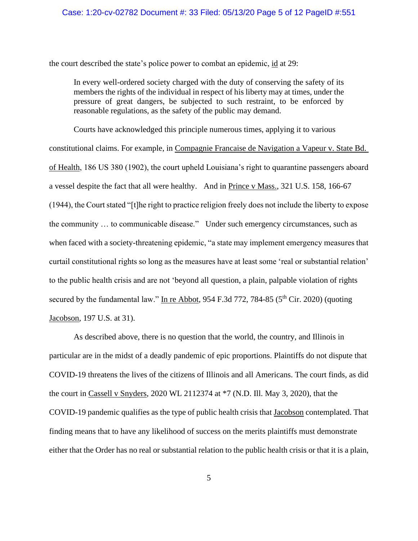### Case: 1:20-cv-02782 Document #: 33 Filed: 05/13/20 Page 5 of 12 PageID #:551

the court described the state's police power to combat an epidemic, id at 29:

In every well-ordered society charged with the duty of conserving the safety of its members the rights of the individual in respect of his liberty may at times, under the pressure of great dangers, be subjected to such restraint, to be enforced by reasonable regulations, as the safety of the public may demand.

 Courts have acknowledged this principle numerous times, applying it to various constitutional claims. For example, in Compagnie Francaise de Navigation a Vapeur v. State Bd. of Health, 186 US 380 (1902), the court upheld Louisiana's right to quarantine passengers aboard a vessel despite the fact that all were healthy. And in Prince v Mass., 321 U.S. 158, 166-67 (1944), the Court stated "[t]he right to practice religion freely does not include the liberty to expose the community … to communicable disease." Under such emergency circumstances, such as when faced with a society-threatening epidemic, "a state may implement emergency measures that curtail constitutional rights so long as the measures have at least some 'real or substantial relation' to the public health crisis and are not 'beyond all question, a plain, palpable violation of rights secured by the fundamental law." In re Abbot,  $954$  F.3d 772, 784-85 ( $5<sup>th</sup>$  Cir. 2020) (quoting Jacobson, 197 U.S. at 31).

 As described above, there is no question that the world, the country, and Illinois in particular are in the midst of a deadly pandemic of epic proportions. Plaintiffs do not dispute that COVID-19 threatens the lives of the citizens of Illinois and all Americans. The court finds, as did the court in Cassell v Snyders, 2020 WL 2112374 at \*7 (N.D. Ill. May 3, 2020), that the COVID-19 pandemic qualifies as the type of public health crisis that Jacobson contemplated. That finding means that to have any likelihood of success on the merits plaintiffs must demonstrate either that the Order has no real or substantial relation to the public health crisis or that it is a plain,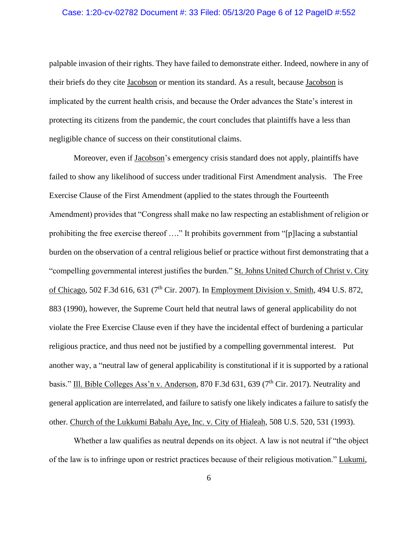### Case: 1:20-cv-02782 Document #: 33 Filed: 05/13/20 Page 6 of 12 PageID #:552

palpable invasion of their rights. They have failed to demonstrate either. Indeed, nowhere in any of their briefs do they cite Jacobson or mention its standard. As a result, because Jacobson is implicated by the current health crisis, and because the Order advances the State's interest in protecting its citizens from the pandemic, the court concludes that plaintiffs have a less than negligible chance of success on their constitutional claims.

 Moreover, even if Jacobson's emergency crisis standard does not apply, plaintiffs have failed to show any likelihood of success under traditional First Amendment analysis. The Free Exercise Clause of the First Amendment (applied to the states through the Fourteenth Amendment) provides that "Congress shall make no law respecting an establishment of religion or prohibiting the free exercise thereof …." It prohibits government from "[p]lacing a substantial burden on the observation of a central religious belief or practice without first demonstrating that a "compelling governmental interest justifies the burden." St. Johns United Church of Christ v. City of Chicago, 502 F.3d 616, 631 (7<sup>th</sup> Cir. 2007). In Employment Division v. Smith, 494 U.S. 872, 883 (1990), however, the Supreme Court held that neutral laws of general applicability do not violate the Free Exercise Clause even if they have the incidental effect of burdening a particular religious practice, and thus need not be justified by a compelling governmental interest. Put another way, a "neutral law of general applicability is constitutional if it is supported by a rational basis." Ill. Bible Colleges Ass'n v. Anderson, 870 F.3d 631, 639 (7<sup>th</sup> Cir. 2017). Neutrality and general application are interrelated, and failure to satisfy one likely indicates a failure to satisfy the other. Church of the Lukkumi Babalu Aye, Inc. v. City of Hialeah, 508 U.S. 520, 531 (1993).

Whether a law qualifies as neutral depends on its object. A law is not neutral if "the object of the law is to infringe upon or restrict practices because of their religious motivation." Lukumi,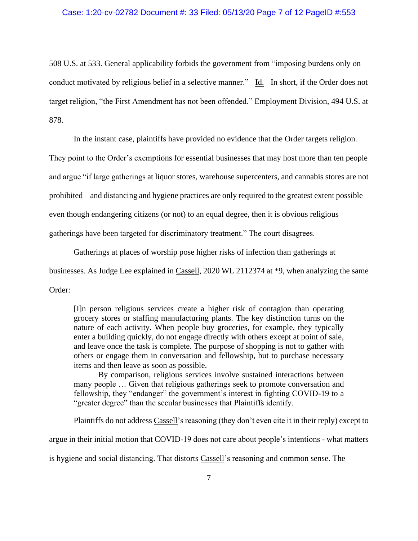### Case: 1:20-cv-02782 Document #: 33 Filed: 05/13/20 Page 7 of 12 PageID #:553

508 U.S. at 533. General applicability forbids the government from "imposing burdens only on conduct motivated by religious belief in a selective manner." Id. In short, if the Order does not target religion, "the First Amendment has not been offended." Employment Division, 494 U.S. at 878.

In the instant case, plaintiffs have provided no evidence that the Order targets religion.

They point to the Order's exemptions for essential businesses that may host more than ten people

and argue "if large gatherings at liquor stores, warehouse supercenters, and cannabis stores are not

prohibited – and distancing and hygiene practices are only required to the greatest extent possible –

even though endangering citizens (or not) to an equal degree, then it is obvious religious

gatherings have been targeted for discriminatory treatment." The court disagrees.

Gatherings at places of worship pose higher risks of infection than gatherings at

businesses. As Judge Lee explained in Cassell, 2020 WL 2112374 at \*9, when analyzing the same

Order:

[I]n person religious services create a higher risk of contagion than operating grocery stores or staffing manufacturing plants. The key distinction turns on the nature of each activity. When people buy groceries, for example, they typically enter a building quickly, do not engage directly with others except at point of sale, and leave once the task is complete. The purpose of shopping is not to gather with others or engage them in conversation and fellowship, but to purchase necessary items and then leave as soon as possible.

 By comparison, religious services involve sustained interactions between many people … Given that religious gatherings seek to promote conversation and fellowship, they "endanger" the government's interest in fighting COVID-19 to a "greater degree" than the secular businesses that Plaintiffs identify.

Plaintiffs do not address Cassell's reasoning (they don't even cite it in their reply) except to

argue in their initial motion that COVID-19 does not care about people's intentions - what matters

is hygiene and social distancing. That distorts Cassell's reasoning and common sense. The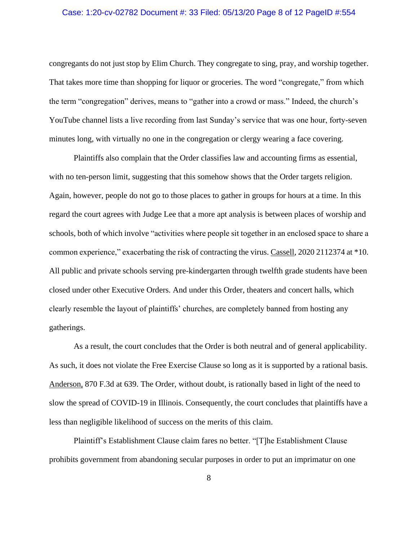### Case: 1:20-cv-02782 Document #: 33 Filed: 05/13/20 Page 8 of 12 PageID #:554

congregants do not just stop by Elim Church. They congregate to sing, pray, and worship together. That takes more time than shopping for liquor or groceries. The word "congregate," from which the term "congregation" derives, means to "gather into a crowd or mass." Indeed, the church's YouTube channel lists a live recording from last Sunday's service that was one hour, forty-seven minutes long, with virtually no one in the congregation or clergy wearing a face covering.

 Plaintiffs also complain that the Order classifies law and accounting firms as essential, with no ten-person limit, suggesting that this somehow shows that the Order targets religion. Again, however, people do not go to those places to gather in groups for hours at a time. In this regard the court agrees with Judge Lee that a more apt analysis is between places of worship and schools, both of which involve "activities where people sit together in an enclosed space to share a common experience," exacerbating the risk of contracting the virus. Cassell, 2020 2112374 at \*10. All public and private schools serving pre-kindergarten through twelfth grade students have been closed under other Executive Orders. And under this Order, theaters and concert halls, which clearly resemble the layout of plaintiffs' churches, are completely banned from hosting any gatherings.

 As a result, the court concludes that the Order is both neutral and of general applicability. As such, it does not violate the Free Exercise Clause so long as it is supported by a rational basis. Anderson, 870 F.3d at 639. The Order, without doubt, is rationally based in light of the need to slow the spread of COVID-19 in Illinois. Consequently, the court concludes that plaintiffs have a less than negligible likelihood of success on the merits of this claim.

Plaintiff's Establishment Clause claim fares no better. "[T]he Establishment Clause prohibits government from abandoning secular purposes in order to put an imprimatur on one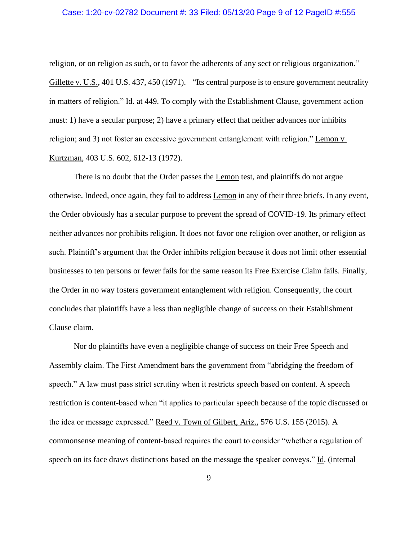### Case: 1:20-cv-02782 Document #: 33 Filed: 05/13/20 Page 9 of 12 PageID #:555

religion, or on religion as such, or to favor the adherents of any sect or religious organization." Gillette v. U.S., 401 U.S. 437, 450 (1971). "Its central purpose is to ensure government neutrality in matters of religion." Id. at 449. To comply with the Establishment Clause, government action must: 1) have a secular purpose; 2) have a primary effect that neither advances nor inhibits religion; and 3) not foster an excessive government entanglement with religion." Lemon v Kurtzman, 403 U.S. 602, 612-13 (1972).

 There is no doubt that the Order passes the Lemon test, and plaintiffs do not argue otherwise. Indeed, once again, they fail to address Lemon in any of their three briefs. In any event, the Order obviously has a secular purpose to prevent the spread of COVID-19. Its primary effect neither advances nor prohibits religion. It does not favor one religion over another, or religion as such. Plaintiff's argument that the Order inhibits religion because it does not limit other essential businesses to ten persons or fewer fails for the same reason its Free Exercise Claim fails. Finally, the Order in no way fosters government entanglement with religion. Consequently, the court concludes that plaintiffs have a less than negligible change of success on their Establishment Clause claim.

 Nor do plaintiffs have even a negligible change of success on their Free Speech and Assembly claim. The First Amendment bars the government from "abridging the freedom of speech." A law must pass strict scrutiny when it restricts speech based on content. A speech restriction is content-based when "it applies to particular speech because of the topic discussed or the idea or message expressed." Reed v. Town of Gilbert, Ariz., 576 U.S. 155 (2015). A commonsense meaning of content-based requires the court to consider "whether a regulation of speech on its face draws distinctions based on the message the speaker conveys." Id. (internal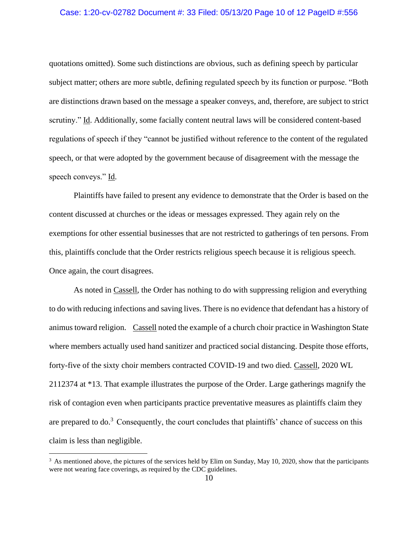### Case: 1:20-cv-02782 Document #: 33 Filed: 05/13/20 Page 10 of 12 PageID #:556

quotations omitted). Some such distinctions are obvious, such as defining speech by particular subject matter; others are more subtle, defining regulated speech by its function or purpose. "Both are distinctions drawn based on the message a speaker conveys, and, therefore, are subject to strict scrutiny." Id. Additionally, some facially content neutral laws will be considered content-based regulations of speech if they "cannot be justified without reference to the content of the regulated speech, or that were adopted by the government because of disagreement with the message the speech conveys." Id.

 Plaintiffs have failed to present any evidence to demonstrate that the Order is based on the content discussed at churches or the ideas or messages expressed. They again rely on the exemptions for other essential businesses that are not restricted to gatherings of ten persons. From this, plaintiffs conclude that the Order restricts religious speech because it is religious speech. Once again, the court disagrees.

 As noted in Cassell, the Order has nothing to do with suppressing religion and everything to do with reducing infections and saving lives. There is no evidence that defendant has a history of animus toward religion. Cassell noted the example of a church choir practice in Washington State where members actually used hand sanitizer and practiced social distancing. Despite those efforts, forty-five of the sixty choir members contracted COVID-19 and two died. Cassell, 2020 WL 2112374 at \*13. That example illustrates the purpose of the Order. Large gatherings magnify the risk of contagion even when participants practice preventative measures as plaintiffs claim they are prepared to  $\omega^3$ . Consequently, the court concludes that plaintiffs' chance of success on this claim is less than negligible.

 $3$  As mentioned above, the pictures of the services held by Elim on Sunday, May 10, 2020, show that the participants were not wearing face coverings, as required by the CDC guidelines.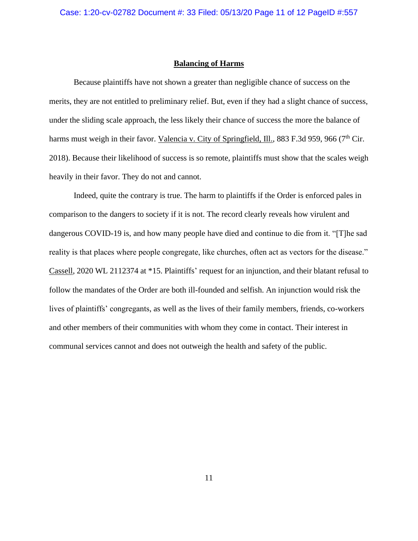#### **Balancing of Harms**

 Because plaintiffs have not shown a greater than negligible chance of success on the merits, they are not entitled to preliminary relief. But, even if they had a slight chance of success, under the sliding scale approach, the less likely their chance of success the more the balance of harms must weigh in their favor. Valencia v. City of Springfield, Ill., 883 F.3d 959, 966 (7<sup>th</sup> Cir. 2018). Because their likelihood of success is so remote, plaintiffs must show that the scales weigh heavily in their favor. They do not and cannot.

 Indeed, quite the contrary is true. The harm to plaintiffs if the Order is enforced pales in comparison to the dangers to society if it is not. The record clearly reveals how virulent and dangerous COVID-19 is, and how many people have died and continue to die from it. "[T]he sad reality is that places where people congregate, like churches, often act as vectors for the disease." Cassell, 2020 WL 2112374 at \*15. Plaintiffs' request for an injunction, and their blatant refusal to follow the mandates of the Order are both ill-founded and selfish. An injunction would risk the lives of plaintiffs' congregants, as well as the lives of their family members, friends, co-workers and other members of their communities with whom they come in contact. Their interest in communal services cannot and does not outweigh the health and safety of the public.